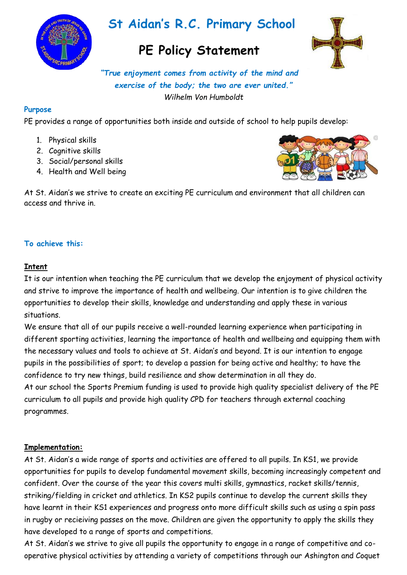

# **St Aidan's R.C. Primary School**

## **PE Policy Statement**



*"True enjoyment comes from activity of the mind and exercise of the body; the two are ever united." Wilhelm Von Humboldt*

#### **Purpose**

PE provides a range of opportunities both inside and outside of school to help pupils develop:

- 1. Physical skills
- 2. Cognitive skills
- 3. Social/personal skills
- 4. Health and Well being



At St. Aidan's we strive to create an exciting PE curriculum and environment that all children can access and thrive in.

#### **To achieve this:**

#### **Intent**

It is our intention when teaching the PE curriculum that we develop the enjoyment of physical activity and strive to improve the importance of health and wellbeing. Our intention is to give children the opportunities to develop their skills, knowledge and understanding and apply these in various situations.

We ensure that all of our pupils receive a well-rounded learning experience when participating in different sporting activities, learning the importance of health and wellbeing and equipping them with the necessary values and tools to achieve at St. Aidan's and beyond. It is our intention to engage pupils in the possibilities of sport; to develop a passion for being active and healthy; to have the confidence to try new things, build resilience and show determination in all they do. At our school the Sports Premium funding is used to provide high quality specialist delivery of the PE curriculum to all pupils and provide high quality CPD for teachers through external coaching programmes.

#### **Implementation:**

At St. Aidan's a wide range of sports and activities are offered to all pupils. In KS1, we provide opportunities for pupils to develop fundamental movement skills, becoming increasingly competent and confident. Over the course of the year this covers multi skills, gymnastics, racket skills/tennis, striking/fielding in cricket and athletics. In KS2 pupils continue to develop the current skills they have learnt in their KS1 experiences and progress onto more difficult skills such as using a spin pass in rugby or recieiving passes on the move. Children are given the opportunity to apply the skills they have developed to a range of sports and competitions.

At St. Aidan's we strive to give all pupils the opportunity to engage in a range of competitive and cooperative physical activities by attending a variety of competitions through our Ashington and Coquet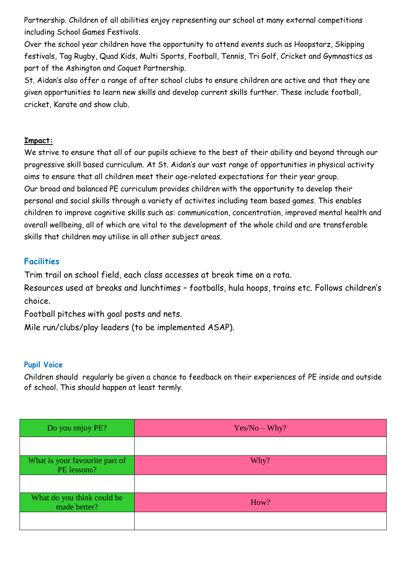Partnership. Children of all abilities enjoy representing our school at many external competitions including School Games Festivals.

Over the school year children have the opportunity to attend events such as Hoopstarz, Skipping festivals, Tag Rugby, Quad Kids, Multi Sports, Football, Tennis, Tri Golf, Cricket and Gymnastics as part of the Ashington and Coquet Partnership.

St. Aidan's also offer a range of after school clubs to ensure children are active and that they are given opportunities to learn new skills and develop current skills further. These include football, cricket, Karate and show club.

#### **Impact:**

We strive to ensure that all of our pupils achieve to the best of their ability and beyond through our progressive skill based curriculum. At St. Aidan's our vast range of opportunities in physical activity aims to ensure that all children meet their age-related expectations for their year group. Our broad and balanced PE curriculum provides children with the opportunity to develop their personal and social skills through a variety of activites including team based games. This enables children to improve cognitive skills such as: communication, concentration, improved mental health and overall wellbeing, all of which are vital to the development of the whole child and are transferable skills that children may utilise in all other subject areas.

## **Facilities**

Trim trail on school field, each class accesses at break time on a rota.

Resources used at breaks and lunchtimes – footballs, hula hoops, trains etc. Follows children's choice.

Football pitches with goal posts and nets.

Mile run/clubs/play leaders (to be implemented ASAP).

### **Pupil Voice**

Children should regularly be given a chance to feedback on their experiences of PE inside and outside of school. This should happen at least termly.

| Do you enjoy PE?                              | $Yes/No-Why?$ |
|-----------------------------------------------|---------------|
|                                               |               |
| What is your favourite part of<br>PE lessons? | Why?          |
|                                               |               |
| What do you think could be<br>made better?    | How?          |
|                                               |               |